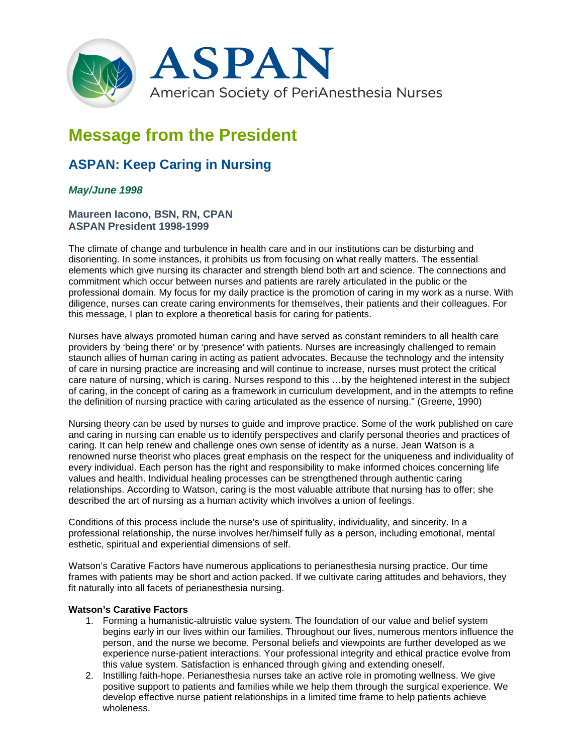

# **Message from the President**

## **ASPAN: Keep Caring in Nursing**

### *May/June 1998*

#### **Maureen Iacono, BSN, RN, CPAN ASPAN President 1998-1999**

The climate of change and turbulence in health care and in our institutions can be disturbing and disorienting. In some instances, it prohibits us from focusing on what really matters. The essential elements which give nursing its character and strength blend both art and science. The connections and commitment which occur between nurses and patients are rarely articulated in the public or the professional domain. My focus for my daily practice is the promotion of caring in my work as a nurse. With diligence, nurses can create caring environments for themselves, their patients and their colleagues. For this message, I plan to explore a theoretical basis for caring for patients.

Nurses have always promoted human caring and have served as constant reminders to all health care providers by 'being there' or by 'presence' with patients. Nurses are increasingly challenged to remain staunch allies of human caring in acting as patient advocates. Because the technology and the intensity of care in nursing practice are increasing and will continue to increase, nurses must protect the critical care nature of nursing, which is caring. Nurses respond to this …by the heightened interest in the subject of caring, in the concept of caring as a framework in curriculum development, and in the attempts to refine the definition of nursing practice with caring articulated as the essence of nursing." (Greene, 1990)

Nursing theory can be used by nurses to guide and improve practice. Some of the work published on care and caring in nursing can enable us to identify perspectives and clarify personal theories and practices of caring. It can help renew and challenge ones own sense of identity as a nurse. Jean Watson is a renowned nurse theorist who places great emphasis on the respect for the uniqueness and individuality of every individual. Each person has the right and responsibility to make informed choices concerning life values and health. Individual healing processes can be strengthened through authentic caring relationships. According to Watson, caring is the most valuable attribute that nursing has to offer; she described the art of nursing as a human activity which involves a union of feelings.

Conditions of this process include the nurse's use of spirituality, individuality, and sincerity. In a professional relationship, the nurse involves her/himself fully as a person, including emotional, mental esthetic, spiritual and experiential dimensions of self.

Watson's Carative Factors have numerous applications to perianesthesia nursing practice. Our time frames with patients may be short and action packed. If we cultivate caring attitudes and behaviors, they fit naturally into all facets of perianesthesia nursing.

#### **Watson's Carative Factors**

- 1. Forming a humanistic-altruistic value system. The foundation of our value and belief system begins early in our lives within our families. Throughout our lives, numerous mentors influence the person, and the nurse we become. Personal beliefs and viewpoints are further developed as we experience nurse-patient interactions. Your professional integrity and ethical practice evolve from this value system. Satisfaction is enhanced through giving and extending oneself.
- 2. Instilling faith-hope. Perianesthesia nurses take an active role in promoting wellness. We give positive support to patients and families while we help them through the surgical experience. We develop effective nurse patient relationships in a limited time frame to help patients achieve wholeness.